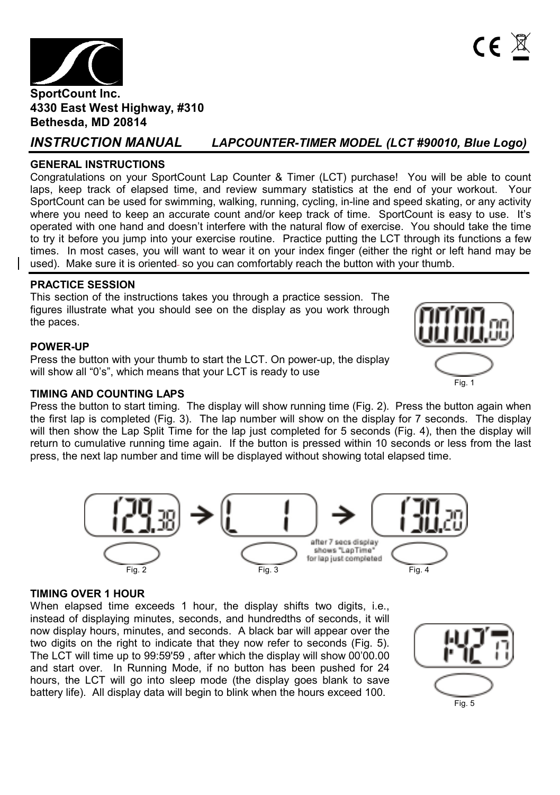

## **GENERAL INSTRUCTIONS**

Congratulations on your SportCount Lap Counter & Timer (LCT) purchase! You will be able to count laps, keep track of elapsed time, and review summary statistics at the end of your workout. Your SportCount can be used for swimming, walking, running, cycling, in-line and speed skating, or any activity where you need to keep an accurate count and/or keep track of time. SportCount is easy to use. It's operated with one hand and doesn't interfere with the natural flow of exercise. You should take the time to try it before you jump into your exercise routine. Practice putting the LCT through its functions a few times. In most cases, you will want to wear it on your index finger (either the right or left hand may be used). Make sure it is oriented so you can comfortably reach the button with your thumb.

## **PRACTICE SESSION**

This section of the instructions takes you through a practice session. The figures illustrate what you should see on the display as you work through the paces.

## **POWER-UP**

Press the button with your thumb to start the LCT. On power-up, the display will show all "0's", which means that your LCT is ready to use

## **TIMING AND COUNTING LAPS**

Press the button to start timing. The display will show running time (Fig. 2). Press the button again when the first lap is completed (Fig. 3). The lap number will show on the display for 7 seconds. The display will then show the Lap Split Time for the lap just completed for 5 seconds (Fig. 4), then the display will return to cumulative running time again. If the button is pressed within 10 seconds or less from the last press, the next lap number and time will be displayed without showing total elapsed time.



#### **TIMING OVER 1 HOUR**

When elapsed time exceeds 1 hour, the display shifts two digits, i.e., instead of displaying minutes, seconds, and hundredths of seconds, it will now display hours, minutes, and seconds. A black bar will appear over the two digits on the right to indicate that they now refer to seconds (Fig. 5). The LCT will time up to 99:59'59 , after which the display will show 00'00.00 and start over. In Running Mode, if no button has been pushed for 24 hours, the LCT will go into sleep mode (the display goes blank to save battery life). All display data will begin to blink when the hours exceed 100.





 $\mathsf{CE}$ 

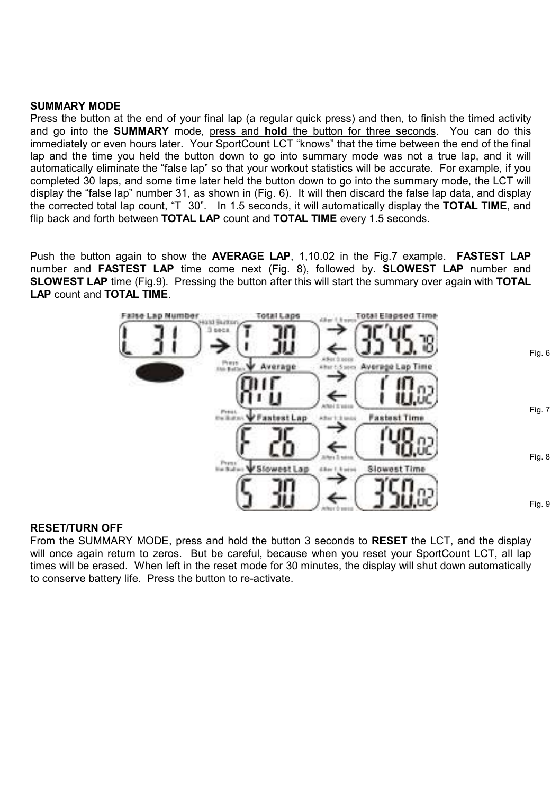#### **SUMMARY MODE**

Press the button at the end of your final lap (a regular quick press) and then, to finish the timed activity and go into the **SUMMARY** mode, press and **hold** the button for three seconds. You can do this immediately or even hours later. Your SportCount LCT "knows" that the time between the end of the final lap and the time you held the button down to go into summary mode was not a true lap, and it will automatically eliminate the "false lap" so that your workout statistics will be accurate. For example, if you completed 30 laps, and some time later held the button down to go into the summary mode, the LCT will display the "false lap" number 31, as shown in (Fig. 6). It will then discard the false lap data, and display the corrected total lap count, "T 30". In 1.5 seconds, it will automatically display the **TOTAL TIME**, and flip back and forth between **TOTAL LAP** count and **TOTAL TIME** every 1.5 seconds.

Push the button again to show the **AVERAGE LAP**, 1,10.02 in the Fig.7 example. **FASTEST LAP**  number and **FASTEST LAP** time come next (Fig. 8), followed by. **SLOWEST LAP** number and **SLOWEST LAP** time (Fig.9). Pressing the button after this will start the summary over again with **TOTAL LAP** count and **TOTAL TIME**.



#### **RESET/TURN OFF**

From the SUMMARY MODE, press and hold the button 3 seconds to **RESET** the LCT, and the display will once again return to zeros. But be careful, because when you reset your SportCount LCT, all lap times will be erased. When left in the reset mode for 30 minutes, the display will shut down automatically to conserve battery life. Press the button to re-activate.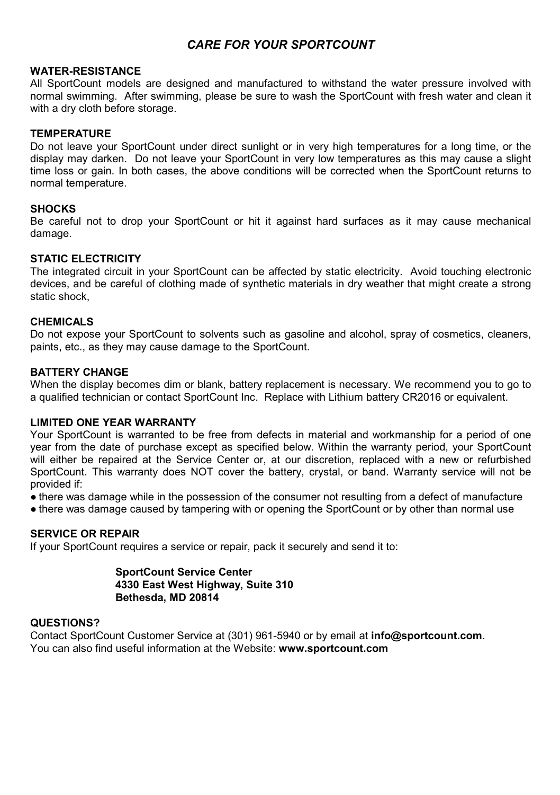# *CARE FOR YOUR SPORTCOUNT*

#### **WATER-RESISTANCE**

All SportCount models are designed and manufactured to withstand the water pressure involved with normal swimming. After swimming, please be sure to wash the SportCount with fresh water and clean it with a dry cloth before storage.

#### **TEMPERATURE**

Do not leave your SportCount under direct sunlight or in very high temperatures for a long time, or the display may darken. Do not leave your SportCount in very low temperatures as this may cause a slight time loss or gain. In both cases, the above conditions will be corrected when the SportCount returns to normal temperature.

#### **SHOCKS**

Be careful not to drop your SportCount or hit it against hard surfaces as it may cause mechanical damage.

#### **STATIC ELECTRICITY**

The integrated circuit in your SportCount can be affected by static electricity. Avoid touching electronic devices, and be careful of clothing made of synthetic materials in dry weather that might create a strong static shock,

#### **CHEMICALS**

Do not expose your SportCount to solvents such as gasoline and alcohol, spray of cosmetics, cleaners, paints, etc., as they may cause damage to the SportCount.

#### **BATTERY CHANGE**

When the display becomes dim or blank, battery replacement is necessary. We recommend you to go to a qualified technician or contact SportCount Inc. Replace with Lithium battery CR2016 or equivalent.

#### **LIMITED ONE YEAR WARRANTY**

Your SportCount is warranted to be free from defects in material and workmanship for a period of one year from the date of purchase except as specified below. Within the warranty period, your SportCount will either be repaired at the Service Center or, at our discretion, replaced with a new or refurbished SportCount. This warranty does NOT cover the battery, crystal, or band. Warranty service will not be provided if:

● there was damage while in the possession of the consumer not resulting from a defect of manufacture

• there was damage caused by tampering with or opening the SportCount or by other than normal use

## **SERVICE OR REPAIR**

If your SportCount requires a service or repair, pack it securely and send it to:

**SportCount Service Center 4330 East West Highway, Suite 310 Bethesda, MD 20814**

#### **QUESTIONS?**

Contact SportCount Customer Service at (301) 961-5940 or by email at **info@sportcount.com**. You can also find useful information at the Website: **www.sportcount.com**